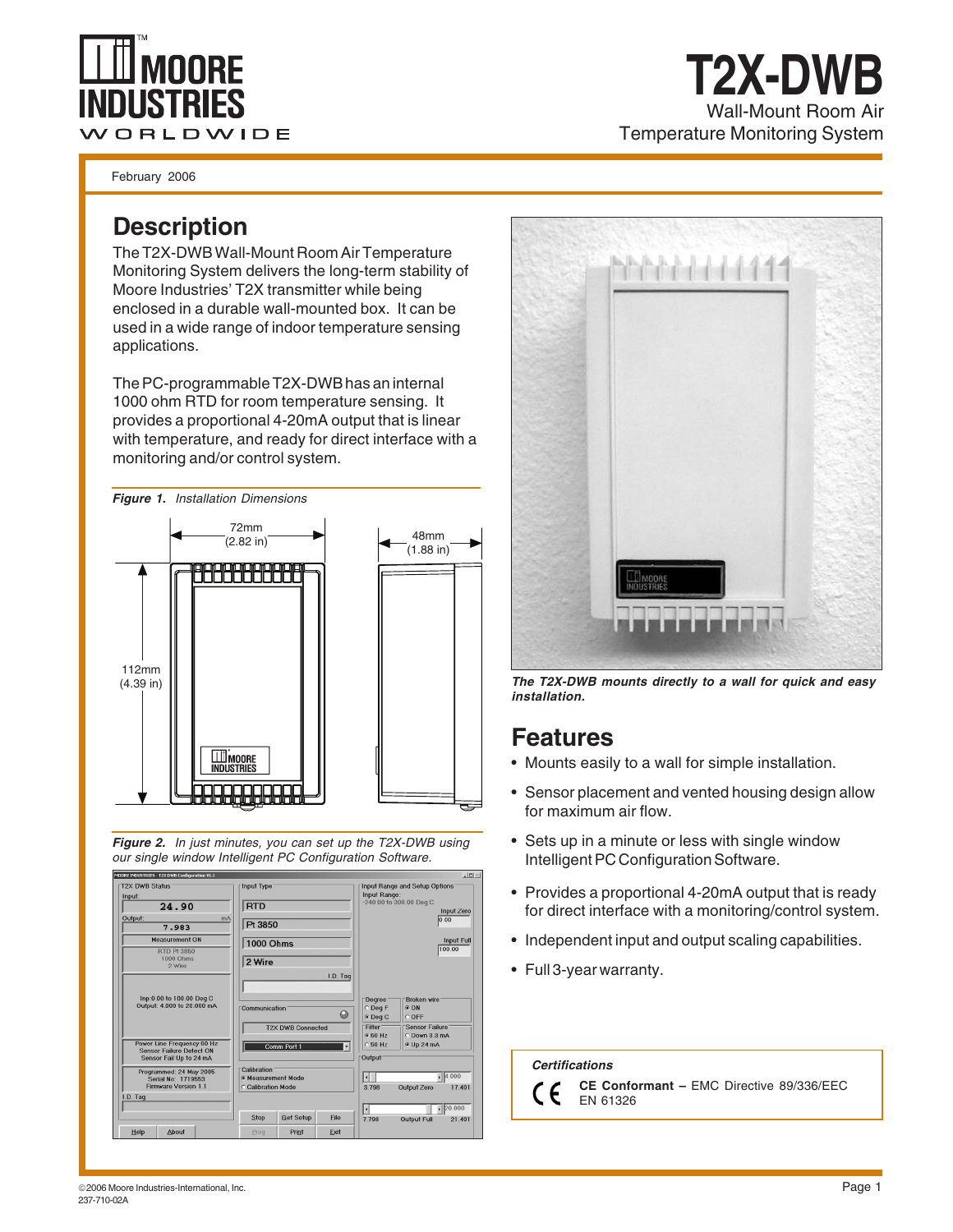# nnee WORLDWIDE

February 2006

#### **Description**

The T2X-DWB Wall-Mount Room Air Temperature Monitoring System delivers the long-term stability of Moore Industries' T2X transmitter while being enclosed in a durable wall-mounted box. It can be used in a wide range of indoor temperature sensing applications.

The PC-programmable T2X-DWB has an internal 1000 ohm RTD for room temperature sensing. It provides a proportional 4-20mA output that is linear with temperature, and ready for direct interface with a monitoring and/or control system.









Wall-Mount Room Air

**T2X-DWB**

Temperature Monitoring System

**The T2X-DWB mounts directly to a wall for quick and easy installation.**

### **Features**

- Mounts easily to a wall for simple installation.
- Sensor placement and vented housing design allow for maximum air flow.
- Sets up in a minute or less with single window Intelligent PC Configuration Software.
- Provides a proportional 4-20mA output that is ready for direct interface with a monitoring/control system.
- Independent input and output scaling capabilities.
- Full 3-year warranty.

 **Certifications**

 $\epsilon$ C

**CE Conformant –** EMC Directive 89/336/EEC EN 61326